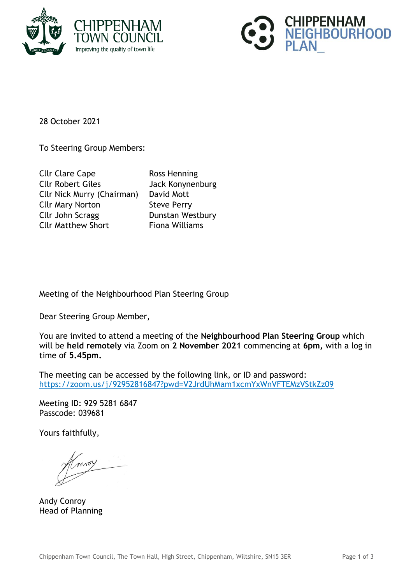



28 October 2021

To Steering Group Members:

| <b>Cllr Clare Cape</b>            | <b>Ross Henning</b>   |
|-----------------------------------|-----------------------|
| <b>Cllr Robert Giles</b>          | Jack Konynenburg      |
| <b>Cllr Nick Murry (Chairman)</b> | David Mott            |
| <b>Cllr Mary Norton</b>           | <b>Steve Perry</b>    |
| Cllr John Scragg                  | Dunstan Westbury      |
| <b>Cllr Matthew Short</b>         | <b>Fiona Williams</b> |

Meeting of the Neighbourhood Plan Steering Group

Dear Steering Group Member,

You are invited to attend a meeting of the **Neighbourhood Plan Steering Group** which will be **held remotely** via Zoom on **2 November 2021** commencing at **6pm,** with a log in time of **5.45pm.**

The meeting can be accessed by the following link, or ID and password: <https://zoom.us/j/92952816847?pwd=V2JrdUhMam1xcmYxWnVFTEMzVStkZz09>

Meeting ID: 929 5281 6847 Passcode: 039681

Yours faithfully,

Andy Conroy Head of Planning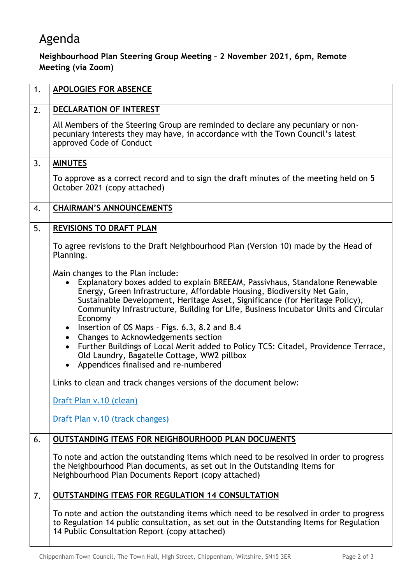## Agenda

## **Neighbourhood Plan Steering Group Meeting – 2 November 2021, 6pm, Remote Meeting (via Zoom)**

| 1. | APOLOGIES FOR ABSENCE                                                                                                                                                                                                                                                                                                                                                                                                                                                                                                                                                                                                                                                                                  |
|----|--------------------------------------------------------------------------------------------------------------------------------------------------------------------------------------------------------------------------------------------------------------------------------------------------------------------------------------------------------------------------------------------------------------------------------------------------------------------------------------------------------------------------------------------------------------------------------------------------------------------------------------------------------------------------------------------------------|
| 2. | DECLARATION OF INTEREST                                                                                                                                                                                                                                                                                                                                                                                                                                                                                                                                                                                                                                                                                |
|    | All Members of the Steering Group are reminded to declare any pecuniary or non-<br>pecuniary interests they may have, in accordance with the Town Council's latest<br>approved Code of Conduct                                                                                                                                                                                                                                                                                                                                                                                                                                                                                                         |
| 3. | <b>MINUTES</b>                                                                                                                                                                                                                                                                                                                                                                                                                                                                                                                                                                                                                                                                                         |
|    | To approve as a correct record and to sign the draft minutes of the meeting held on 5<br>October 2021 (copy attached)                                                                                                                                                                                                                                                                                                                                                                                                                                                                                                                                                                                  |
| 4. | <b>CHAIRMAN'S ANNOUNCEMENTS</b>                                                                                                                                                                                                                                                                                                                                                                                                                                                                                                                                                                                                                                                                        |
| 5. | <b>REVISIONS TO DRAFT PLAN</b>                                                                                                                                                                                                                                                                                                                                                                                                                                                                                                                                                                                                                                                                         |
|    | To agree revisions to the Draft Neighbourhood Plan (Version 10) made by the Head of<br>Planning.                                                                                                                                                                                                                                                                                                                                                                                                                                                                                                                                                                                                       |
|    | Main changes to the Plan include:<br>Explanatory boxes added to explain BREEAM, Passivhaus, Standalone Renewable<br>Energy, Green Infrastructure, Affordable Housing, Biodiversity Net Gain,<br>Sustainable Development, Heritage Asset, Significance (for Heritage Policy),<br>Community Infrastructure, Building for Life, Business Incubator Units and Circular<br>Economy<br>Insertion of OS Maps - Figs. 6.3, 8.2 and 8.4<br>$\bullet$<br>Changes to Acknowledgements section<br>$\bullet$<br>Further Buildings of Local Merit added to Policy TC5: Citadel, Providence Terrace,<br>$\bullet$<br>Old Laundry, Bagatelle Cottage, WW2 pillbox<br>Appendices finalised and re-numbered<br>$\bullet$ |
|    | Links to clean and track changes versions of the document below:                                                                                                                                                                                                                                                                                                                                                                                                                                                                                                                                                                                                                                       |
|    | Draft Plan v.10 (clean)                                                                                                                                                                                                                                                                                                                                                                                                                                                                                                                                                                                                                                                                                |
|    | Draft Plan v.10 (track changes)                                                                                                                                                                                                                                                                                                                                                                                                                                                                                                                                                                                                                                                                        |
| 6. | <b>OUTSTANDING ITEMS FOR NEIGHBOURHOOD PLAN DOCUMENTS</b>                                                                                                                                                                                                                                                                                                                                                                                                                                                                                                                                                                                                                                              |
|    | To note and action the outstanding items which need to be resolved in order to progress<br>the Neighbourhood Plan documents, as set out in the Outstanding Items for<br>Neighbourhood Plan Documents Report (copy attached)                                                                                                                                                                                                                                                                                                                                                                                                                                                                            |
| 7. | <b>OUTSTANDING ITEMS FOR REGULATION 14 CONSULTATION</b>                                                                                                                                                                                                                                                                                                                                                                                                                                                                                                                                                                                                                                                |
|    | To note and action the outstanding items which need to be resolved in order to progress<br>to Regulation 14 public consultation, as set out in the Outstanding Items for Regulation<br>14 Public Consultation Report (copy attached)                                                                                                                                                                                                                                                                                                                                                                                                                                                                   |